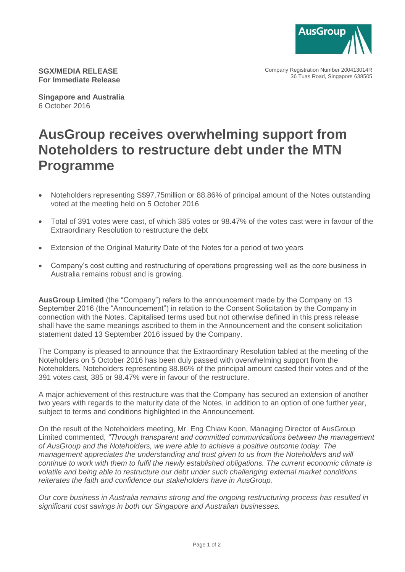

Company Registration Number 200413014R 36 Tuas Road, Singapore 638505

**SGX/MEDIA RELEASE For Immediate Release**

**Singapore and Australia** 6 October 2016

## **AusGroup receives overwhelming support from Noteholders to restructure debt under the MTN Programme**

- Noteholders representing S\$97.75million or 88.86% of principal amount of the Notes outstanding voted at the meeting held on 5 October 2016
- Total of 391 votes were cast, of which 385 votes or 98.47% of the votes cast were in favour of the Extraordinary Resolution to restructure the debt
- Extension of the Original Maturity Date of the Notes for a period of two years
- Company's cost cutting and restructuring of operations progressing well as the core business in Australia remains robust and is growing.

**AusGroup Limited** (the "Company") refers to the announcement made by the Company on 13 September 2016 (the "Announcement") in relation to the Consent Solicitation by the Company in connection with the Notes. Capitalised terms used but not otherwise defined in this press release shall have the same meanings ascribed to them in the Announcement and the consent solicitation statement dated 13 September 2016 issued by the Company.

The Company is pleased to announce that the Extraordinary Resolution tabled at the meeting of the Noteholders on 5 October 2016 has been duly passed with overwhelming support from the Noteholders. Noteholders representing 88.86% of the principal amount casted their votes and of the 391 votes cast, 385 or 98.47% were in favour of the restructure.

A major achievement of this restructure was that the Company has secured an extension of another two years with regards to the maturity date of the Notes, in addition to an option of one further year, subject to terms and conditions highlighted in the Announcement.

On the result of the Noteholders meeting, Mr. Eng Chiaw Koon, Managing Director of AusGroup Limited commented, *"Through transparent and committed communications between the management of AusGroup and the Noteholders, we were able to achieve a positive outcome today. The management appreciates the understanding and trust given to us from the Noteholders and will continue to work with them to fulfil the newly established obligations. The current economic climate is volatile and being able to restructure our debt under such challenging external market conditions reiterates the faith and confidence our stakeholders have in AusGroup.*

*Our core business in Australia remains strong and the ongoing restructuring process has resulted in significant cost savings in both our Singapore and Australian businesses.*